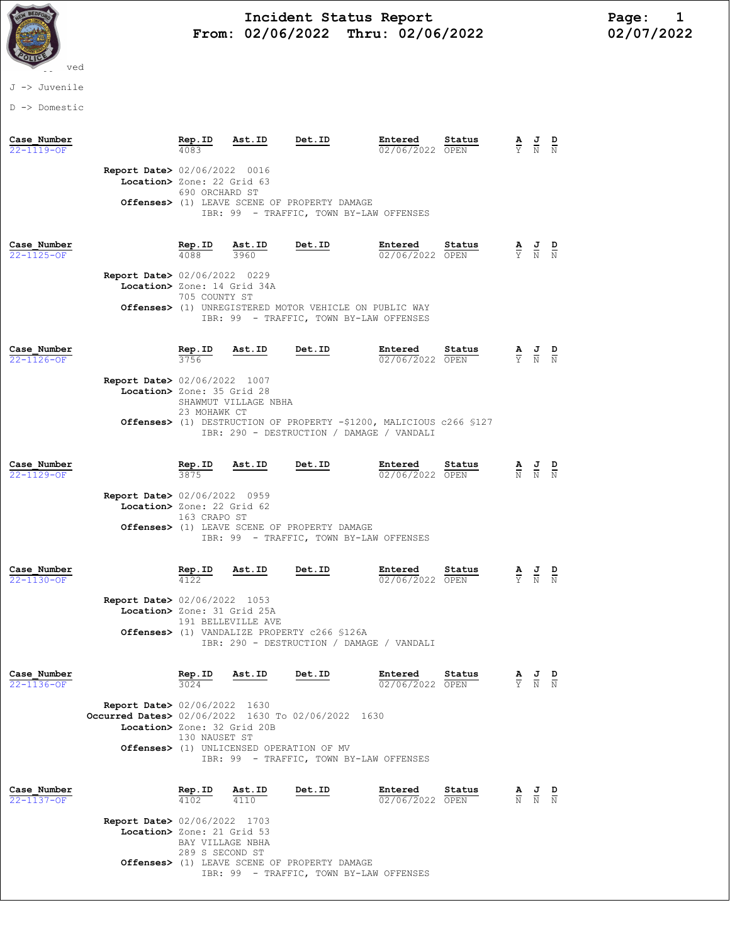

## Incident Status Report<br>02/06/2022 Thru: 02/06/2022 102/07/2022 From:  $02/06/2022$  Thru:  $02/06/2022$

## J -> Juvenile

D -> Domestic

| Case Number<br>$22 - 1119 - 0F$ |                                                                                                                             | Rep.ID                                                 | Ast.ID                                             | Det.ID                                                                                                                       | Entered<br>02/06/2022 OPEN | Status |                                 | $\frac{1}{N}$                                                                                   | D                   |
|---------------------------------|-----------------------------------------------------------------------------------------------------------------------------|--------------------------------------------------------|----------------------------------------------------|------------------------------------------------------------------------------------------------------------------------------|----------------------------|--------|---------------------------------|-------------------------------------------------------------------------------------------------|---------------------|
|                                 | Report Date> 02/06/2022 0016<br>Location> Zone: 22 Grid 63                                                                  | 690 ORCHARD ST                                         |                                                    | Offenses> (1) LEAVE SCENE OF PROPERTY DAMAGE<br>IBR: 99 - TRAFFIC, TOWN BY-LAW OFFENSES                                      |                            |        |                                 |                                                                                                 |                     |
| Case Number<br>22-1125-OF       | <b>Report Date&gt; 02/06/2022 0229</b><br>Location> Zone: 14 Grid 34A                                                       | $\frac{\text{Rep. ID}}{4088}$<br>4088<br>705 COUNTY ST | $\frac{\texttt{Ast.ID}}{3960}$                     | <u>Det.ID</u><br><b>Offenses&gt;</b> (1) UNREGISTERED MOTOR VEHICLE ON PUBLIC WAY<br>IBR: 99 - TRAFFIC, TOWN BY-LAW OFFENSES | Entered<br>02/06/2022 OPEN | Status |                                 | $\frac{\mathbf{A}}{\mathbf{Y}}$ $\frac{\mathbf{J}}{\mathbf{N}}$ $\frac{\mathbf{D}}{\mathbf{N}}$ |                     |
| Case Number<br>22-1126-OF       | Report Date> 02/06/2022 1007<br>Location> Zone: 35 Grid 28                                                                  | Rep.ID<br>23 MOHAWK CT                                 | Ast.ID<br>SHAWMUT VILLAGE NBHA                     | Det.ID<br>Offenses> (1) DESTRUCTION OF PROPERTY -\$1200, MALICIOUS c266 \$127<br>IBR: 290 - DESTRUCTION / DAMAGE / VANDALI   | Entered<br>02/06/2022 OPEN | Status |                                 | $\frac{\mathbf{A}}{\mathbf{Y}}$ $\frac{\mathbf{J}}{\mathbf{N}}$ $\frac{\mathbf{D}}{\mathbf{N}}$ |                     |
| Case Number<br>22-1129-OF       | <b>Report Date&gt;</b> 02/06/2022 0959<br>Location> Zone: 22 Grid 62                                                        | Rep.ID<br>163 CRAPO ST                                 | Ast.ID                                             | Det.ID<br>Offenses> (1) LEAVE SCENE OF PROPERTY DAMAGE<br>IBR: 99 - TRAFFIC, TOWN BY-LAW OFFENSES                            | Entered<br>02/06/2022 OPEN | Status |                                 | $\frac{\mathbf{A}}{\mathbf{N}}$ $\frac{\mathbf{J}}{\mathbf{N}}$ $\frac{\mathbf{D}}{\mathbf{N}}$ |                     |
| Case Number<br>22-1130-OF       | Report Date> 02/06/2022 1053<br>Location> Zone: 31 Grid 25A                                                                 | $\frac{\text{Rep. ID}}{4122}$                          | Ast.ID<br>191 BELLEVILLE AVE                       | Det.ID<br>Offenses> (1) VANDALIZE PROPERTY c266 \$126A<br>IBR: 290 - DESTRUCTION / DAMAGE / VANDALI                          | Entered<br>02/06/2022 OPEN | Status |                                 | $\frac{\mathbf{A}}{\mathbf{Y}}$ $\frac{\mathbf{J}}{\mathbf{N}}$                                 |                     |
| Case Number<br>22-1136-OF       | <b>Report Date&gt; 02/06/2022 1630</b><br>Occurred Dates> 02/06/2022 1630 To 02/06/2022 1630<br>Location> Zone: 32 Grid 20B | Rep.ID<br>130 NAUSET ST                                | Ast.ID<br>Offenses> (1) UNLICENSED OPERATION OF MV | Det.ID<br>IBR: 99 - TRAFFIC, TOWN BY-LAW OFFENSES                                                                            | Entered<br>02/06/2022 OPEN | Status | $\frac{\mathbf{A}}{\mathbf{Y}}$ | $\frac{J}{N}$                                                                                   | D<br>$\overline{N}$ |
| Case Number<br>22-1137-OF       | <b>Report Date&gt; 02/06/2022 1703</b><br>Location> Zone: 21 Grid 53                                                        | Rep.ID<br>BAY VILLAGE NBHA<br>289 S SECOND ST          | Ast.ID<br>4110                                     | Det.ID                                                                                                                       | Entered<br>02/06/2022 OPEN | Status | $\frac{\mathbf{A}}{\mathrm{N}}$ | $\frac{J}{N}$                                                                                   |                     |

 Offenses> (1) LEAVE SCENE OF PROPERTY DAMAGE IBR: 99 - TRAFFIC, TOWN BY-LAW OFFENSES